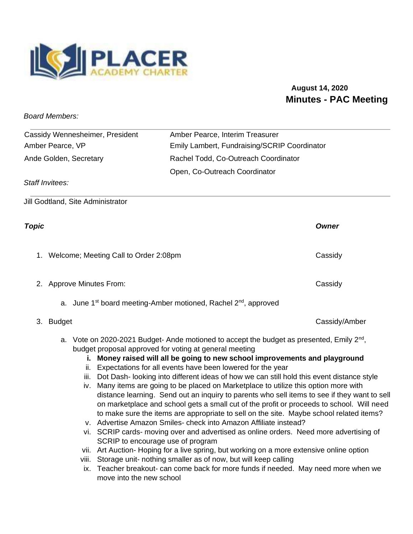

## **August 14, 2020 Minutes - PAC Meeting**

*Board Members:* 

| Cassidy Wennesheimer, President | Amber Pearce, Interim Treasurer              |
|---------------------------------|----------------------------------------------|
| Amber Pearce, VP                | Emily Lambert, Fundraising/SCRIP Coordinator |
| Ande Golden, Secretary          | Rachel Todd, Co-Outreach Coordinator         |
|                                 | Open, Co-Outreach Coordinator                |
| Staff Invitees:                 |                                              |

Jill Godtland, Site Administrator

| I | ۰. |
|---|----|
|   |    |

| <b>Topic</b> |                                                                                         | Owner   |
|--------------|-----------------------------------------------------------------------------------------|---------|
| 1.           | Welcome; Meeting Call to Order 2:08pm                                                   | Cassidy |
|              | 2. Approve Minutes From:                                                                | Cassidy |
|              | a. June 1 <sup>st</sup> board meeting-Amber motioned, Rachel 2 <sup>nd</sup> , approved |         |

- 3. Budget Cassidy/Amber
	- a. Vote on 2020-2021 Budget- Ande motioned to accept the budget as presented, Emily 2<sup>nd</sup>, budget proposal approved for voting at general meeting

## **i. Money raised will all be going to new school improvements and playground**

- ii. Expectations for all events have been lowered for the year
- iii. Dot Dash- looking into different ideas of how we can still hold this event distance style
- iv. Many items are going to be placed on Marketplace to utilize this option more with distance learning. Send out an inquiry to parents who sell items to see if they want to sell on marketplace and school gets a small cut of the profit or proceeds to school. Will need to make sure the items are appropriate to sell on the site. Maybe school related items?
- v. Advertise Amazon Smiles- check into Amazon Affiliate instead?
- vi. SCRIP cards- moving over and advertised as online orders. Need more advertising of SCRIP to encourage use of program
- vii. Art Auction- Hoping for a live spring, but working on a more extensive online option
- viii. Storage unit- nothing smaller as of now, but will keep calling
- ix. Teacher breakout- can come back for more funds if needed. May need more when we move into the new school